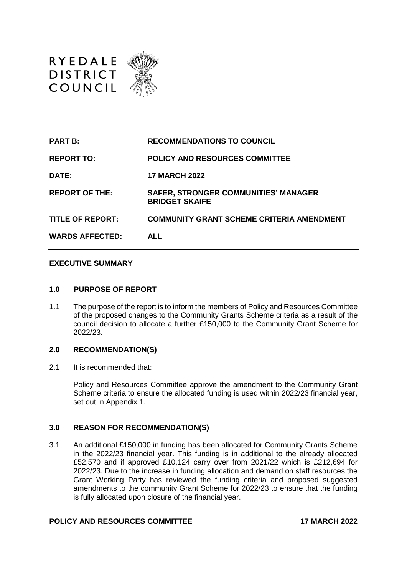

| <b>PART B:</b>          | <b>RECOMMENDATIONS TO COUNCIL</b>                                    |
|-------------------------|----------------------------------------------------------------------|
| <b>REPORT TO:</b>       | <b>POLICY AND RESOURCES COMMITTEE</b>                                |
| DATE:                   | <b>17 MARCH 2022</b>                                                 |
| <b>REPORT OF THE:</b>   | <b>SAFER, STRONGER COMMUNITIES' MANAGER</b><br><b>BRIDGET SKAIFE</b> |
| <b>TITLE OF REPORT:</b> | <b>COMMUNITY GRANT SCHEME CRITERIA AMENDMENT</b>                     |
| <b>WARDS AFFECTED:</b>  | <b>ALL</b>                                                           |

### **EXECUTIVE SUMMARY**

#### **1.0 PURPOSE OF REPORT**

1.1 The purpose of the report is to inform the members of Policy and Resources Committee of the proposed changes to the Community Grants Scheme criteria as a result of the council decision to allocate a further £150,000 to the Community Grant Scheme for 2022/23.

### **2.0 RECOMMENDATION(S)**

2.1 It is recommended that:

Policy and Resources Committee approve the amendment to the Community Grant Scheme criteria to ensure the allocated funding is used within 2022/23 financial year, set out in Appendix 1.

### **3.0 REASON FOR RECOMMENDATION(S)**

3.1 An additional £150,000 in funding has been allocated for Community Grants Scheme in the 2022/23 financial year. This funding is in additional to the already allocated £52,570 and if approved £10,124 carry over from 2021/22 which is £212,694 for 2022/23. Due to the increase in funding allocation and demand on staff resources the Grant Working Party has reviewed the funding criteria and proposed suggested amendments to the community Grant Scheme for 2022/23 to ensure that the funding is fully allocated upon closure of the financial year.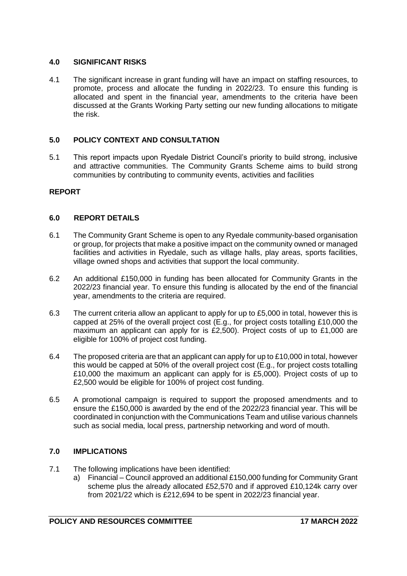### **4.0 SIGNIFICANT RISKS**

4.1 The significant increase in grant funding will have an impact on staffing resources, to promote, process and allocate the funding in 2022/23. To ensure this funding is allocated and spent in the financial year, amendments to the criteria have been discussed at the Grants Working Party setting our new funding allocations to mitigate the risk.

# **5.0 POLICY CONTEXT AND CONSULTATION**

5.1 This report impacts upon Ryedale District Council's priority to build strong, inclusive and attractive communities. The Community Grants Scheme aims to build strong communities by contributing to community events, activities and facilities

# **REPORT**

# **6.0 REPORT DETAILS**

- 6.1 The Community Grant Scheme is open to any Ryedale community-based organisation or group, for projects that make a positive impact on the community owned or managed facilities and activities in Ryedale, such as village halls, play areas, sports facilities, village owned shops and activities that support the local community.
- 6.2 An additional £150,000 in funding has been allocated for Community Grants in the 2022/23 financial year. To ensure this funding is allocated by the end of the financial year, amendments to the criteria are required.
- 6.3 The current criteria allow an applicant to apply for up to £5,000 in total, however this is capped at 25% of the overall project cost (E.g., for project costs totalling £10,000 the maximum an applicant can apply for is £2,500). Project costs of up to £1,000 are eligible for 100% of project cost funding.
- 6.4 The proposed criteria are that an applicant can apply for up to £10,000 in total, however this would be capped at 50% of the overall project cost (E.g., for project costs totalling £10,000 the maximum an applicant can apply for is £5,000). Project costs of up to £2,500 would be eligible for 100% of project cost funding.
- 6.5 A promotional campaign is required to support the proposed amendments and to ensure the £150,000 is awarded by the end of the 2022/23 financial year. This will be coordinated in conjunction with the Communications Team and utilise various channels such as social media, local press, partnership networking and word of mouth.

# **7.0 IMPLICATIONS**

- 7.1 The following implications have been identified:
	- a) Financial Council approved an additional £150,000 funding for Community Grant scheme plus the already allocated £52,570 and if approved £10,124k carry over from 2021/22 which is £212,694 to be spent in 2022/23 financial year.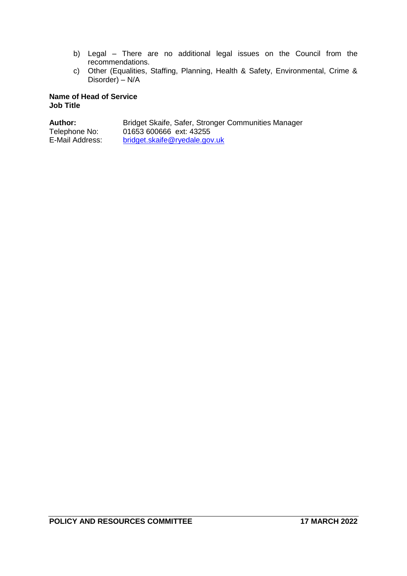- b) Legal There are no additional legal issues on the Council from the recommendations.
- c) Other (Equalities, Staffing, Planning, Health & Safety, Environmental, Crime & Disorder) – N/A

### **Name of Head of Service Job Title**

| <b>Author:</b>  | Bridget Skaife, Safer, Stronger Communities Manager |
|-----------------|-----------------------------------------------------|
| Telephone No:   | 01653 600666 ext: 43255                             |
| E-Mail Address: | bridget.skaife@ryedale.gov.uk                       |